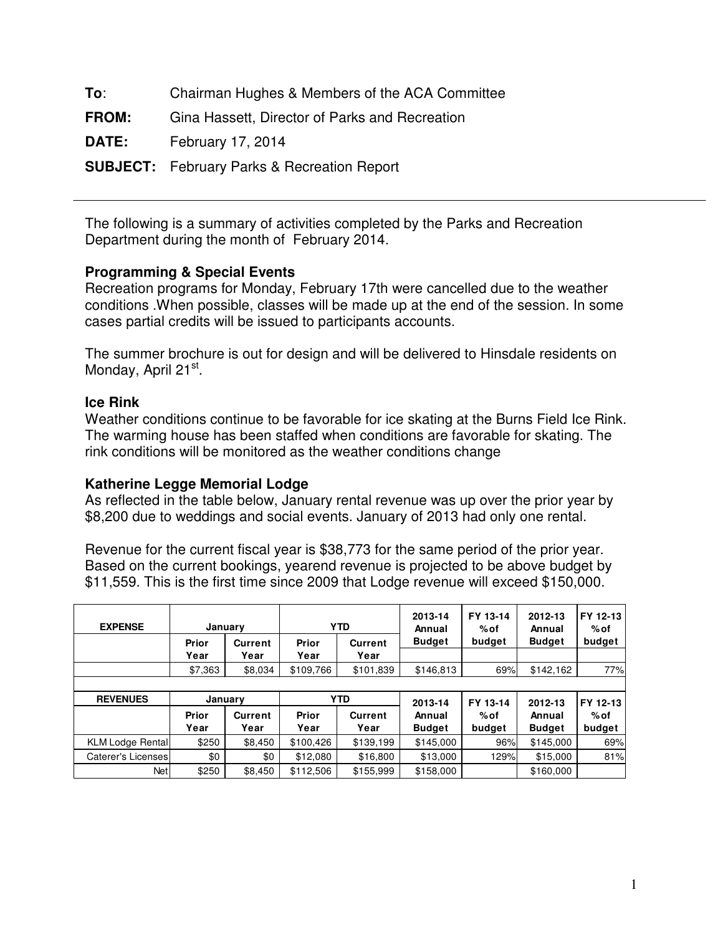**To**: Chairman Hughes & Members of the ACA Committee

**FROM:** Gina Hassett, Director of Parks and Recreation

**DATE:** February 17, 2014

**SUBJECT:** February Parks & Recreation Report

The following is a summary of activities completed by the Parks and Recreation Department during the month of February 2014.

# **Programming & Special Events**

Recreation programs for Monday, February 17th were cancelled due to the weather conditions .When possible, classes will be made up at the end of the session. In some cases partial credits will be issued to participants accounts.

The summer brochure is out for design and will be delivered to Hinsdale residents on Monday, April 21<sup>st</sup>.

# **Ice Rink**

Weather conditions continue to be favorable for ice skating at the Burns Field Ice Rink. The warming house has been staffed when conditions are favorable for skating. The rink conditions will be monitored as the weather conditions change

## **Katherine Legge Memorial Lodge**

As reflected in the table below, January rental revenue was up over the prior year by \$8,200 due to weddings and social events. January of 2013 had only one rental.

Revenue for the current fiscal year is \$38,773 for the same period of the prior year. Based on the current bookings, yearend revenue is projected to be above budget by \$11,559. This is the first time since 2009 that Lodge revenue will exceed \$150,000.

| <b>EXPENSE</b>          |               | January                |               | <b>YTD</b>             | 2013-14<br>Annual | FY 13-14<br>%of | 2012-13<br>Annual | FY 12-13<br>% of |  |
|-------------------------|---------------|------------------------|---------------|------------------------|-------------------|-----------------|-------------------|------------------|--|
|                         | Prior<br>Year | <b>Current</b><br>Year | Prior<br>Year | <b>Current</b><br>Year | <b>Budget</b>     | budget          | <b>Budget</b>     | budget           |  |
|                         | \$7,363       | \$8,034                | \$109,766     | \$101,839              | \$146,813         | 69%             | \$142,162         | 77%              |  |
|                         |               |                        |               |                        |                   |                 |                   |                  |  |
|                         |               |                        |               |                        |                   |                 |                   |                  |  |
| <b>REVENUES</b>         |               | January                |               | <b>YTD</b>             | 2013-14           | FY 13-14        | 2012-13           | FY 12-13         |  |
|                         | Prior         | <b>Current</b>         | Prior         | <b>Current</b>         | Annual            | %of             | Annual            | % of             |  |
|                         | Year          | Year                   | Year          | Year                   | <b>Budget</b>     | budget          | <b>Budget</b>     | budget           |  |
| <b>KLM Lodge Rental</b> | \$250         | \$8,450                | \$100,426     | \$139,199              | \$145,000         | 96%             | \$145,000         | 69%              |  |
| Caterer's Licenses      | \$0           | \$0                    | \$12,080      | \$16,800               | \$13,000          | 129%            | \$15,000          | 81%              |  |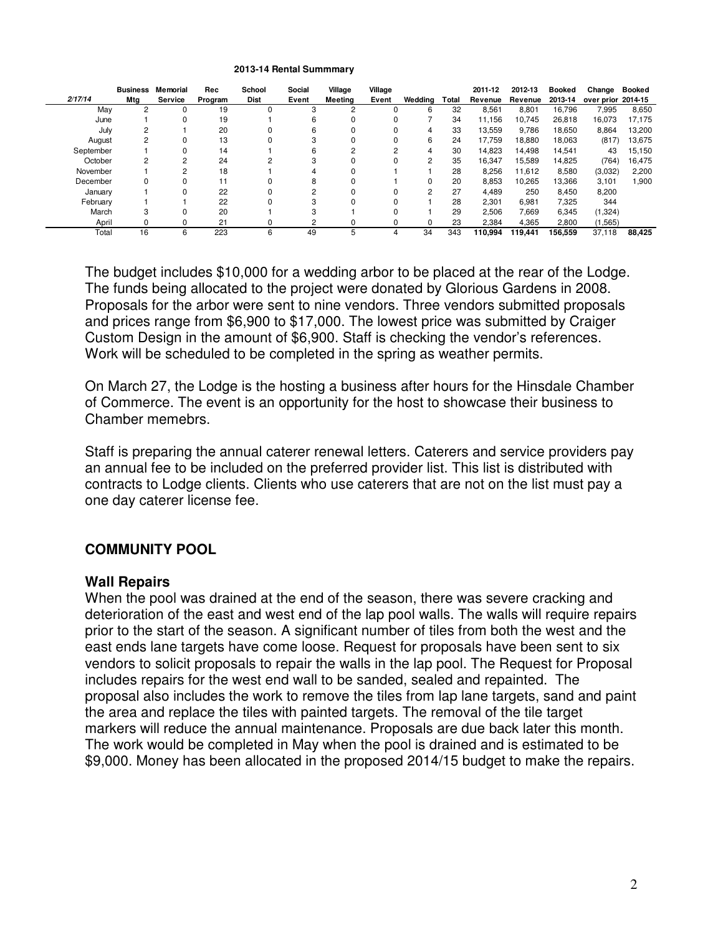#### **2013-14 Rental Summmary**

|           | <b>Business</b> | Memorial | Rec     | School      | Social | Village | Village |                |       | 2011-12 | 2012-13 | Booked  | Change             | <b>Booked</b> |
|-----------|-----------------|----------|---------|-------------|--------|---------|---------|----------------|-------|---------|---------|---------|--------------------|---------------|
| 2/17/14   | Mtg             | Service  | Program | <b>Dist</b> | Event  | Meetina | Event   | Wedding        | Total | Revenue | Revenue | 2013-14 | over prior 2014-15 |               |
| May       |                 | 0        | 19      |             | З      |         |         | 6              | 32    | 8,561   | 8,801   | 16.796  | 7.995              | 8,650         |
| June      |                 | 0        | 19      |             | 6      |         |         |                | 34    | 11,156  | 10,745  | 26,818  | 16,073             | 17,175        |
| July      | $\overline{2}$  |          | 20      |             | 6      |         | 0       | 4              | 33    | 13,559  | 9,786   | 18,650  | 8,864              | 13,200        |
| August    |                 | 0        | 13      |             | з      |         |         | 6              | 24    | 17.759  | 18,880  | 18,063  | (817)              | 13,675        |
| September |                 | 0        | 14      |             | 6      |         | 2       | 4              | 30    | 14.823  | 14,498  | 14,541  | 43                 | 15,150        |
| October   | $\overline{2}$  | 2        | 24      |             |        |         |         | $\overline{2}$ | 35    | 16,347  | 15,589  | 14,825  | (764)              | 16,475        |
| November  |                 | 2        | 18      |             |        |         |         |                | 28    | 8.256   | 11.612  | 8,580   | (3,032)            | 2,200         |
| December  |                 | 0        | 11      |             | 8      |         |         | 0              | 20    | 8,853   | 10,265  | 13,366  | 3,101              | 1,900         |
| January   |                 | 0        | 22      |             | $\sim$ |         |         | $\overline{2}$ | 27    | 4.489   | 250     | 8,450   | 8,200              |               |
| February  |                 |          | 22      |             | o      |         |         |                | 28    | 2,301   | 6,981   | 7,325   | 344                |               |
| March     | 3               | 0        | 20      |             | з      |         |         |                | 29    | 2,506   | 7,669   | 6,345   | (1,324)            |               |
| April     |                 |          | 21      |             | 2      |         |         | 0              | 23    | 2.384   | 4,365   | 2,800   | (1, 565)           |               |
| Total     | 16              | 6        | 223     | 6           | 49     | 5       | 4       | 34             | 343   | 110.994 | 119,441 | 156.559 | 37.118             | 88.425        |

The budget includes \$10,000 for a wedding arbor to be placed at the rear of the Lodge. The funds being allocated to the project were donated by Glorious Gardens in 2008. Proposals for the arbor were sent to nine vendors. Three vendors submitted proposals and prices range from \$6,900 to \$17,000. The lowest price was submitted by Craiger Custom Design in the amount of \$6,900. Staff is checking the vendor's references. Work will be scheduled to be completed in the spring as weather permits.

On March 27, the Lodge is the hosting a business after hours for the Hinsdale Chamber of Commerce. The event is an opportunity for the host to showcase their business to Chamber memebrs.

Staff is preparing the annual caterer renewal letters. Caterers and service providers pay an annual fee to be included on the preferred provider list. This list is distributed with contracts to Lodge clients. Clients who use caterers that are not on the list must pay a one day caterer license fee.

## **COMMUNITY POOL**

### **Wall Repairs**

When the pool was drained at the end of the season, there was severe cracking and deterioration of the east and west end of the lap pool walls. The walls will require repairs prior to the start of the season. A significant number of tiles from both the west and the east ends lane targets have come loose. Request for proposals have been sent to six vendors to solicit proposals to repair the walls in the lap pool. The Request for Proposal includes repairs for the west end wall to be sanded, sealed and repainted. The proposal also includes the work to remove the tiles from lap lane targets, sand and paint the area and replace the tiles with painted targets. The removal of the tile target markers will reduce the annual maintenance. Proposals are due back later this month. The work would be completed in May when the pool is drained and is estimated to be \$9,000. Money has been allocated in the proposed 2014/15 budget to make the repairs.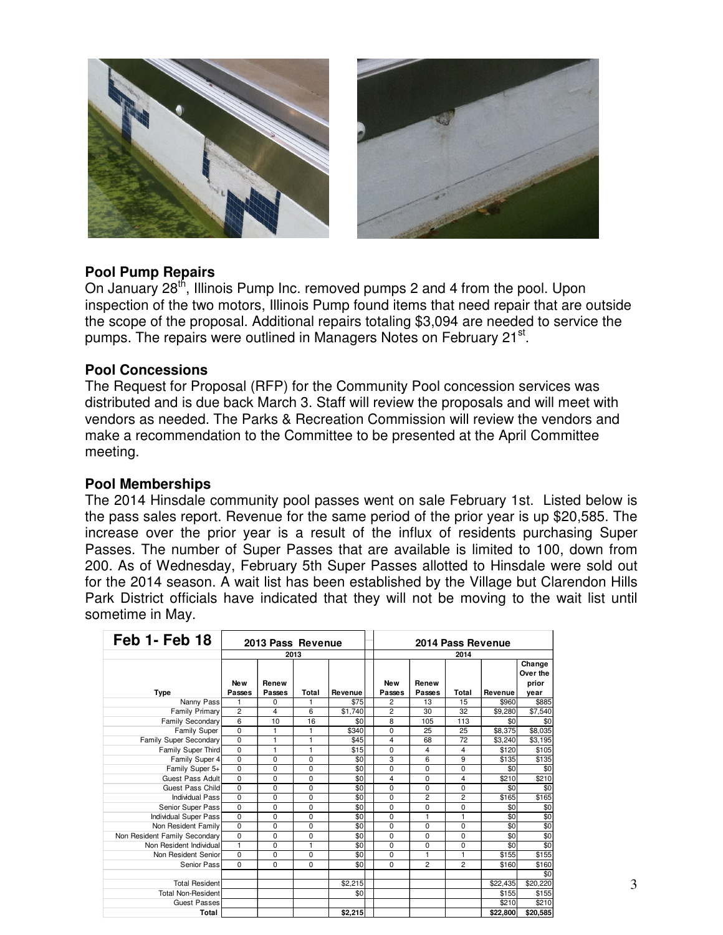



## **Pool Pump Repairs**

On January 28<sup>th</sup>, Illinois Pump Inc. removed pumps 2 and 4 from the pool. Upon inspection of the two motors, Illinois Pump found items that need repair that are outside the scope of the proposal. Additional repairs totaling \$3,094 are needed to service the pumps. The repairs were outlined in Managers Notes on February 21<sup>st</sup>.

## **Pool Concessions**

The Request for Proposal (RFP) for the Community Pool concession services was distributed and is due back March 3. Staff will review the proposals and will meet with vendors as needed. The Parks & Recreation Commission will review the vendors and make a recommendation to the Committee to be presented at the April Committee meeting.

### **Pool Memberships**

The 2014 Hinsdale community pool passes went on sale February 1st. Listed below is the pass sales report. Revenue for the same period of the prior year is up \$20,585. The increase over the prior year is a result of the influx of residents purchasing Super Passes. The number of Super Passes that are available is limited to 100, down from 200. As of Wednesday, February 5th Super Passes allotted to Hinsdale were sold out for the 2014 season. A wait list has been established by the Village but Clarendon Hills Park District officials have indicated that they will not be moving to the wait list until sometime in May.

| <b>Feb 1- Feb 18</b>                         |                      | 2013 Pass Revenue |              |         | 2014 Pass Revenue |                 |                |          |                             |  |  |
|----------------------------------------------|----------------------|-------------------|--------------|---------|-------------------|-----------------|----------------|----------|-----------------------------|--|--|
|                                              |                      |                   | 2013         |         | 2014              |                 |                |          |                             |  |  |
|                                              | <b>New</b><br>Passes | Renew<br>Passes   | Total        | Revenue | New<br>Passes     | Renew<br>Passes | Total          | Revenue  | Change<br>Over the<br>prior |  |  |
| Type<br>Nanny Pass                           |                      | $\Omega$          |              | \$75    | 2                 | 13              | 15             | \$960    | year<br>\$885               |  |  |
| Family Primary                               | $\overline{c}$       | 4                 | 6            | \$1,740 | $\overline{c}$    | 30              | 32             | \$9,280  | \$7,540                     |  |  |
| Family Secondary                             | 6                    | 10                | 16           | \$0     | 8                 | 105             | 113            | \$0      | \$0                         |  |  |
| Family Super                                 | $\Omega$             | 1                 | 1            | \$340   | 0                 | 25              | 25             | \$8,375  | \$8,035                     |  |  |
| Family Super Secondary                       | 0                    | 1                 | $\mathbf{1}$ | \$45    | $\overline{4}$    | 68              | 72             | \$3,240  | \$3,195                     |  |  |
| Family Super Third                           | $\mathbf 0$          | 1                 | $\mathbf{1}$ | \$15    | 0                 | $\overline{4}$  | 4              | \$120    | \$105                       |  |  |
| Family Super 4                               | $\mathbf 0$          | $\mathbf 0$       | 0            | \$0     | 3                 | 6               | 9              | \$135    | \$135                       |  |  |
| Family Super 5+                              | $\mathbf 0$          | $\Omega$          | $\Omega$     | \$0     | $\mathbf 0$       | 0               | 0              | \$0      | \$0                         |  |  |
| Guest Pass Adult                             | 0                    | $\mathbf 0$       | 0            | \$0     | $\overline{4}$    | 0               | 4              | \$210    | \$210                       |  |  |
| Guest Pass Child                             | $\Omega$             | $\Omega$          | $\Omega$     | \$0     | $\mathbf 0$       | 0               | 0              | \$0      | \$0                         |  |  |
| Individual Pass                              | $\mathbf 0$          | $\mathbf 0$       | 0            | \$0     | $\mathbf 0$       | $\overline{c}$  | $\overline{c}$ | \$165    | \$165                       |  |  |
| Senior Super Pass                            | $\mathbf 0$          | $\mathbf 0$       | 0            | \$0     | $\mathbf 0$       | 0               | 0              | \$0      | \$0                         |  |  |
|                                              | $\mathbf 0$          | $\mathbf 0$       | 0            | \$0     | $\mathbf 0$       | 1               | 1              | \$0      |                             |  |  |
| Individual Super Pass<br>Non Resident Family | $\overline{0}$       | $\mathbf 0$       | 0            | \$0     | $\mathbf 0$       | 0               | 0              | \$0      | $\frac{49}{50}$             |  |  |
| Non Resident Family Secondary                | $\overline{0}$       | $\mathbf 0$       | $\Omega$     | \$0     | $\mathbf 0$       | 0               | 0              | \$0      | \$0                         |  |  |
| Non Resident Individual                      | 1                    | $\mathbf 0$       | $\mathbf{1}$ | \$0     | $\mathbf 0$       | 0               | 0              | \$0      | \$0                         |  |  |
| Non Resident Senior                          | $\Omega$             | $\Omega$          | $\Omega$     | \$0     | 0                 | 1               | 1              | \$155    | \$155                       |  |  |
| Senior Pass                                  | $\Omega$             | $\Omega$          | 0            | \$0     | $\mathbf 0$       | $\overline{c}$  | $\overline{c}$ | \$160    | \$160                       |  |  |
|                                              |                      |                   |              |         |                   |                 |                |          | \$0                         |  |  |
| <b>Total Resident</b>                        |                      |                   |              | \$2,215 |                   |                 |                | \$22,435 | \$20,220                    |  |  |
| <b>Total Non-Resident</b>                    |                      |                   |              | \$0     |                   |                 |                | \$155    | \$155                       |  |  |
| Guest Passes                                 |                      |                   |              |         |                   |                 |                | \$210    | \$210                       |  |  |
| Total                                        |                      |                   |              | \$2,215 |                   |                 |                | \$22,800 | \$20,585                    |  |  |